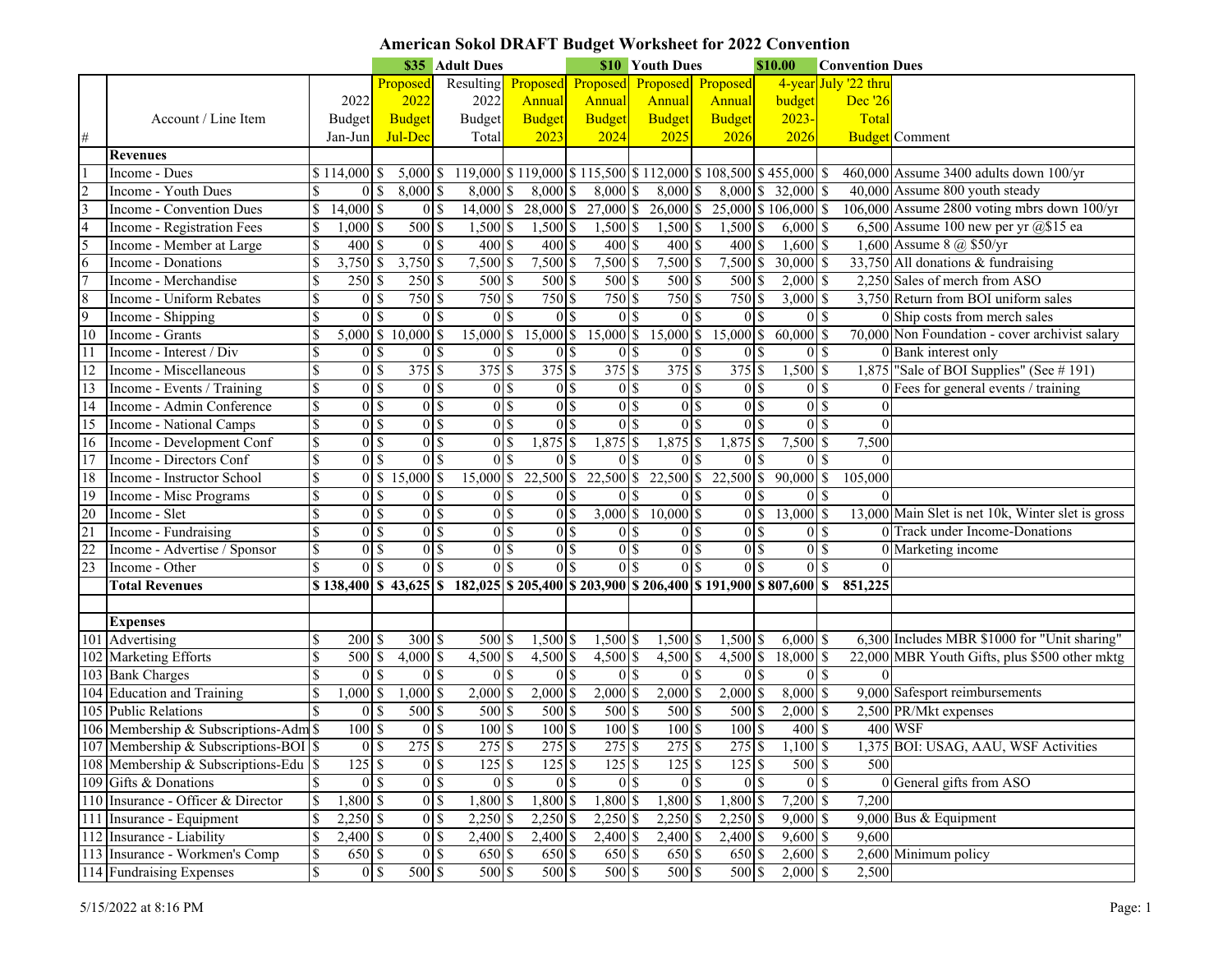# **American Sokol DRAFT Budget Worksheet for 2022 Convention**

|                             |                                         |                          |                   |                | \$35 Adult Dues      |                                                                                                                                                                                                                                                               |                |                           |               | <b>\$10 Youth Dues</b><br>\$10.00 |                                                              |                   |                     |                    |                | <b>Convention Dues</b>  |                                                   |
|-----------------------------|-----------------------------------------|--------------------------|-------------------|----------------|----------------------|---------------------------------------------------------------------------------------------------------------------------------------------------------------------------------------------------------------------------------------------------------------|----------------|---------------------------|---------------|-----------------------------------|--------------------------------------------------------------|-------------------|---------------------|--------------------|----------------|-------------------------|---------------------------------------------------|
|                             |                                         |                          |                   |                | Proposed             | Resulting                                                                                                                                                                                                                                                     |                | Proposed Proposed         |               |                                   | Proposed Proposed                                            |                   |                     |                    |                | 4-year July '22 thru    |                                                   |
|                             |                                         |                          | 2022              |                | 2022                 | 2022                                                                                                                                                                                                                                                          |                | <b>Annual</b>             | Annual        |                                   | Annual                                                       |                   | Annual              | budget             |                | Dec '26                 |                                                   |
|                             | Account / Line Item                     |                          | <b>Budget</b>     |                | <b>Budget</b>        | Budget                                                                                                                                                                                                                                                        |                | <b>Budget</b>             | <b>Budget</b> |                                   | <b>Budget</b>                                                |                   | <b>Budget</b>       | $2023 -$           |                | Total                   |                                                   |
|                             |                                         |                          | Jan-Jun           |                | Jul-Dec              | Total                                                                                                                                                                                                                                                         |                | 2023                      |               | 2024                              | 2025                                                         |                   | 2026                | 2026               |                |                         | <b>Budget</b> Comment                             |
|                             | <b>Revenues</b>                         |                          |                   |                |                      |                                                                                                                                                                                                                                                               |                |                           |               |                                   |                                                              |                   |                     |                    |                |                         |                                                   |
|                             | Income - Dues                           |                          | $$114,000$ \$     |                | $5,000$ \$           |                                                                                                                                                                                                                                                               |                |                           |               |                                   | 119,000 \$119,000 \$115,500 \$112,000 \$108,500 \$455,000 \$ |                   |                     |                    |                |                         | 460,000 Assume 3400 adults down 100/yr            |
| $\frac{2}{3}$               | Income - Youth Dues                     |                          |                   | 01S            | $8,000$ \$           | 8,000                                                                                                                                                                                                                                                         |                | $8,000$ \$                |               | $8,000$ \$                        | $8,000$ \$                                                   |                   |                     | 8,000 \$ 32,000 \$ |                |                         | 40,000 Assume 800 youth steady                    |
|                             | Income - Convention Dues                | S                        | $14,000$ \$       |                | 0 <sup>1</sup>       | $14,000$ \$                                                                                                                                                                                                                                                   |                | $28,000$ \$               |               | $27,000$ \$                       | 26,000 \$                                                    |                   | 25,000 \$106,000 \$ |                    |                |                         | 106,000 Assume 2800 voting mbrs down 100/yr       |
| $\frac{4}{5}$ $\frac{6}{7}$ | Income - Registration Fees              |                          | $1,000$ \$        |                | $500$ \$             | $1,500$ \$                                                                                                                                                                                                                                                    |                | $1,500$ \$                |               | 1,500 \$                          | $1,500$ \$                                                   |                   | 1,500 \$            |                    | $6,000$ \$     |                         | 6,500 Assume 100 new per yr $(2)$ \$15 ea         |
|                             | Income - Member at Large                |                          | 400 \$            |                | 0 <sup>5</sup>       | $400\sqrt{5}$                                                                                                                                                                                                                                                 |                | 400 \$                    |               | 400S                              | 400 \$                                                       |                   | $400\$              | $1,600$ \$         |                |                         | 1,600 Assume 8 @ \$50/yr                          |
|                             | Income - Donations                      | $\mathcal{S}$            | $3,750$ \$        |                | $3,750$ \$           | $7,500$ \$                                                                                                                                                                                                                                                    |                | 7,500 \$                  |               | 7,500 \$                          | $7,500$ \$                                                   |                   | $7,500$ \$          | $30,000$ \$        |                |                         | 33,750 All donations & fundraising                |
|                             | Income - Merchandise                    | <sup>\$</sup>            | 250S              |                | $250$ \$             | 500 \$                                                                                                                                                                                                                                                        |                | 500 \$                    |               | 500 \$                            | 500 \$                                                       |                   | 500 \$              |                    | $2,000$ \$     |                         | 2,250 Sales of merch from ASO                     |
| $\bf 8$                     | Income - Uniform Rebates                | <sup>\$</sup>            |                   | $0\vert s$     | 750 \$               | 750 \$                                                                                                                                                                                                                                                        |                | 750 \$                    |               | 750 \$                            | 750 \$                                                       |                   | 750 \$              |                    | $3,000$ \$     |                         | 3,750 Return from BOI uniform sales               |
| $\overline{9}$              | Income - Shipping                       | $\mathcal{S}$            |                   | $01$ s         | $0\sqrt{s}$          |                                                                                                                                                                                                                                                               | 0 <sup>3</sup> | 0 <sup>1</sup>            |               | 0 <sup>1</sup>                    |                                                              | $\overline{0}$ \$ | 0 <sup>1</sup>      |                    | 0S             |                         | 0 Ship costs from merch sales                     |
| $\overline{10}$             | Income - Grants                         |                          |                   |                | $5,000$ \$ 10,000 \$ | 15,000 \$                                                                                                                                                                                                                                                     |                | $15,000$ \$               |               | $15,000$ \$                       | $15,000$ \$                                                  |                   | $15,000$ \$         | 60,000             |                | $\overline{\mathsf{s}}$ | 70,000 Non Foundation - cover archivist salary    |
| 11                          | Income - Interest / Div                 |                          |                   | 01S            | 0 <sup>1</sup>       |                                                                                                                                                                                                                                                               | 0 <sup>1</sup> | 0 <sup>1</sup>            |               | 0 <sup>1</sup>                    |                                                              | 0 <sup>1</sup>    | 0 <sup>1</sup>      |                    | 0S             |                         | 0 Bank interest only                              |
| 12                          | Income - Miscellaneous                  |                          |                   | 0 <sup>1</sup> | 375S                 | 375S                                                                                                                                                                                                                                                          |                | $375$ \$                  |               | $375$ \$                          | 375S                                                         |                   | $375$ \$            |                    | $1,500$ \$     |                         | 1,875 "Sale of BOI Supplies" (See #191)           |
| 13                          | Income - Events / Training              |                          | 0 <sup>1</sup>    |                | 0 <sup>1</sup>       |                                                                                                                                                                                                                                                               | 0 <sup>1</sup> | 0 <sup>1</sup>            |               | 0 <sup>1</sup>                    |                                                              | 0 <sup>1</sup>    | 0 <sup>1</sup>      |                    | $0\vert\$      |                         | 0 Fees for general events / training              |
| 14                          | Income - Admin Conference               | $\mathcal{S}$            | 0 <sup>1</sup>    |                | 0 <sup>5</sup>       |                                                                                                                                                                                                                                                               | 0 <sup>3</sup> | 0 <sup>1</sup>            |               | 0 <sup>1</sup>                    |                                                              | $\overline{0}$ \$ | 0 <sup>1</sup>      |                    | 0 <sup>5</sup> |                         |                                                   |
| 15                          | Income - National Camps                 | $\mathcal{S}$            | 0 <sup>1</sup>    |                | 0S                   |                                                                                                                                                                                                                                                               | 0 <sup>3</sup> | 0 <sup>1</sup>            |               | 0 <sup>1</sup>                    |                                                              | 0 <sup>1</sup>    | $\overline{0}$ \$   |                    | 0 <sup>5</sup> | $\theta$                |                                                   |
| 16                          | Income - Development Conf               | $\mathcal{S}$            |                   | 0 <sub>0</sub> | 0 <sup>5</sup>       | 0 <sup>5</sup>                                                                                                                                                                                                                                                |                | 1,875 \$                  |               | $1,875$ \$                        | $1,875$ \$                                                   |                   | $1,875$ \$          |                    | $7,500$ \$     | 7,500                   |                                                   |
| 17                          | Income - Directors Conf                 | \$                       |                   | 0 <sup>1</sup> | 0 <sup>5</sup>       |                                                                                                                                                                                                                                                               | 0 <sup>l</sup> | 0 <sup>1</sup>            |               | 0 <sup>l</sup>                    |                                                              | 0 <sup>1</sup>    | 0 <sup>1</sup>      |                    | 0 <sup>5</sup> | $\theta$                |                                                   |
| 18                          | Income - Instructor School              | $\mathbb{S}$             |                   |                | $0 \ 15,000 \ 5$     | $15,000$ \$                                                                                                                                                                                                                                                   |                | $22,500$ \$               |               |                                   | 22,500 \$ 22,500 \$                                          |                   | 22,500 \$ 90,000 \$ |                    |                | 105,000                 |                                                   |
| 19                          | Income - Misc Programs                  | <sup>\$</sup>            |                   | 01S            | 0 <sup>5</sup>       | 0 <sup>3</sup>                                                                                                                                                                                                                                                |                | 0 <sup>1</sup>            |               | $0\$ $\frac{1}{2}$                |                                                              | 0 <sup>1</sup>    | 0 <sup>1</sup>      |                    | $0\vert\$      |                         |                                                   |
| $\frac{20}{21}$             | Income - Slet                           | $\overline{\mathcal{S}}$ |                   | $0 \text{ s}$  | 0 <sup>5</sup>       |                                                                                                                                                                                                                                                               | 0 <sup>3</sup> | 0 <sup>1</sup>            |               | $3,000$ \$                        | $10,000$ \$                                                  |                   | 0 <sup>5</sup>      | 13,000 \$          |                |                         | 13,000 Main Slet is net 10k, Winter slet is gross |
|                             | Income - Fundraising                    | \$                       |                   | $0 \text{ s}$  | 0 <sup>5</sup>       |                                                                                                                                                                                                                                                               | 0 <sup>3</sup> | 0 <sup>3</sup>            |               | 0 <sup>1</sup>                    |                                                              | 0 <sup>1</sup>    | 0 <sup>3</sup>      |                    | 0 <sup>5</sup> |                         | 0 Track under Income-Donations                    |
|                             | Income - Advertise / Sponsor            |                          |                   |                | 0 <sup>5</sup>       |                                                                                                                                                                                                                                                               | 0 <sup>3</sup> | 0 <sup>1</sup>            |               | 0 <sup>3</sup>                    |                                                              | $\overline{0}$ \$ | 0 <sub>3</sub>      |                    | 0 <sup>5</sup> |                         | 0 Marketing income                                |
| $\overline{23}$             | Income - Other                          |                          |                   | 01s            | 0 <sup>5</sup>       |                                                                                                                                                                                                                                                               | 0s             | $\overline{0}$ \$         |               | $\overline{0}$ s                  |                                                              | $\overline{0}$ s  | ol s                |                    | 0S             |                         |                                                   |
|                             | <b>Total Revenues</b>                   |                          |                   |                |                      | $$138,400 \& 43,625 \& 182,025 \& 205,400 \& 203,900 \& 206,400 \& 191,900 \& 807,600 \& 500 \& 600 \& 700 \& 800 \& 800 \& 800 \& 900 \& 900 \& 900 \& 900 \& 900 \& 900 \& 900 \& 900 \& 900 \& 900 \& 900 \& 900 \& 900 \& 900 \& 900 \& 900 \& 900 \& 90$ |                |                           |               |                                   |                                                              |                   |                     |                    |                | 851,225                 |                                                   |
|                             |                                         |                          |                   |                |                      |                                                                                                                                                                                                                                                               |                |                           |               |                                   |                                                              |                   |                     |                    |                |                         |                                                   |
|                             | <b>Expenses</b>                         |                          |                   |                |                      |                                                                                                                                                                                                                                                               |                |                           |               |                                   |                                                              |                   |                     |                    |                |                         |                                                   |
|                             | 101 Advertising                         |                          | 200S              |                | 300S                 | 500 \$                                                                                                                                                                                                                                                        |                | 1,500 \$                  |               | $1,500$ \$                        | $1,500$ \$                                                   |                   | $1,500$ \$          |                    | $6,000$ \$     |                         | 6,300 Includes MBR \$1000 for "Unit sharing"      |
|                             | 102 Marketing Efforts                   | <sup>\$</sup>            | 500 \$            |                | $4,000$ \$           | $4,500$ \$                                                                                                                                                                                                                                                    |                | 4,500 \$                  |               | 4,500 \$                          | $4,500$ \$                                                   |                   | 4,500 \$            | 18,000 \$          |                |                         | 22,000 MBR Youth Gifts, plus \$500 other mktg     |
|                             | 103 Bank Charges                        | $\mathcal{S}$            | $\overline{0}$ \$ |                | $0\sqrt{s}$          |                                                                                                                                                                                                                                                               | 0 <sup>3</sup> | 0 <sup>1</sup>            |               | 0 <sup>1</sup>                    |                                                              | $\overline{0}$ \$ | 0 <sup>1</sup>      |                    | 0S             |                         |                                                   |
|                             | 104 Education and Training              |                          | $1,000$ \$        |                | $1,000$ \$           | $2,000$ \$                                                                                                                                                                                                                                                    |                | $2,000$ \$                |               | $2,000$ \$                        | $2,000$ \$                                                   |                   | $2,000$ \$          | $8,000$ \$         |                |                         | 9,000 Safesport reimbursements                    |
|                             | 105 Public Relations                    |                          |                   | 0 <sup>1</sup> | 500 \$               | $500$ \$                                                                                                                                                                                                                                                      |                | 500 \$                    |               | $500$ \$                          | 500 \$                                                       |                   | 500 \$              |                    | $2,000$ \$     |                         | 2,500 PR/Mkt expenses                             |
|                             | 106 Membership & Subscriptions-Adm \$   |                          | 100S              |                | 0 <sup>1</sup>       | 100S                                                                                                                                                                                                                                                          |                | $100\overline{\smash{5}}$ |               | 100 \$                            | 100 \$                                                       |                   | 100S                |                    | 400 \$         |                         | <b>400 WSF</b>                                    |
|                             | 107 Membership & Subscriptions-BOI \$   |                          |                   | 0s             | $275$ \$             | $275$ $\overline{\$}$                                                                                                                                                                                                                                         |                | $275$ \$                  |               | 275S                              | $275$ \$                                                     |                   | 275 \$              |                    | $1,100$ \$     |                         | 1,375 BOI: USAG, AAU, WSF Activities              |
|                             | 108 Membership & Subscriptions-Edu   \$ |                          | $125$ \$          |                | 0 <sup>8</sup>       |                                                                                                                                                                                                                                                               |                | $125$ \$                  |               | $125$ \$                          | $125$ \\$                                                    |                   | $125$ \$            |                    | 500 \$         | 500                     |                                                   |
|                             | 109 Gifts & Donations                   |                          |                   | $0 \simeq$     | 0 <sup>5</sup>       |                                                                                                                                                                                                                                                               | 0 <sup>5</sup> | $\overline{0}$ \$         |               | $0$ \$                            |                                                              | 0 <sup>3</sup>    | $0\$ $\frac{1}{2}$  |                    | 0 <sup>3</sup> |                         | 0 General gifts from ASO                          |
|                             | 110 Insurance - Officer & Director      | $\mathsf{\$}$            | 1,800 \$          |                | 0 <sup>5</sup>       | $1,800$ \$                                                                                                                                                                                                                                                    |                | $1,800$ \$                |               | $1,800$ \$                        | $1,800$ \$                                                   |                   | $1,800$ \$          |                    | $7,200$ \$     | 7,200                   |                                                   |
|                             | 111 Insurance - Equipment               | <sup>\$</sup>            | $2,250$ \$        |                | $0\sqrt{s}$          | $2,250$ \$                                                                                                                                                                                                                                                    |                | $2,250$ \$                |               | $2,250$ \$                        | $2,250$ \$                                                   |                   | 2,250 \$            |                    | $9,000$ \$     |                         | 9,000 Bus & Equipment                             |
|                             | 112 Insurance - Liability               | <sup>\$</sup>            | $2,400$ \$        |                | $0\sqrt{s}$          | $2,400$ \$                                                                                                                                                                                                                                                    |                | $2,400$ \$                |               | $2,400$ \$                        | 2,400 \$                                                     |                   | 2,400 \$            |                    | $9,600$ \$     | 9,600                   |                                                   |
|                             | 113 Insurance - Workmen's Comp          | $\mathbb{S}$             | 650 \$            |                | 0 <sup>5</sup>       | 650 \$                                                                                                                                                                                                                                                        |                | 650 \$                    |               | 650 \$                            | 650 \$                                                       |                   | 650 \$              |                    | $2,600$ \$     |                         | 2,600 Minimum policy                              |
|                             | 114 Fundraising Expenses                | $\$$                     |                   | 0 <sup>8</sup> | $500$ \$             | $500$ $\sqrt{s}$                                                                                                                                                                                                                                              |                | $500$ \$                  |               | 500S                              | 500 \$                                                       |                   | $500$ \$            | $2,000$ \$         |                | 2,500                   |                                                   |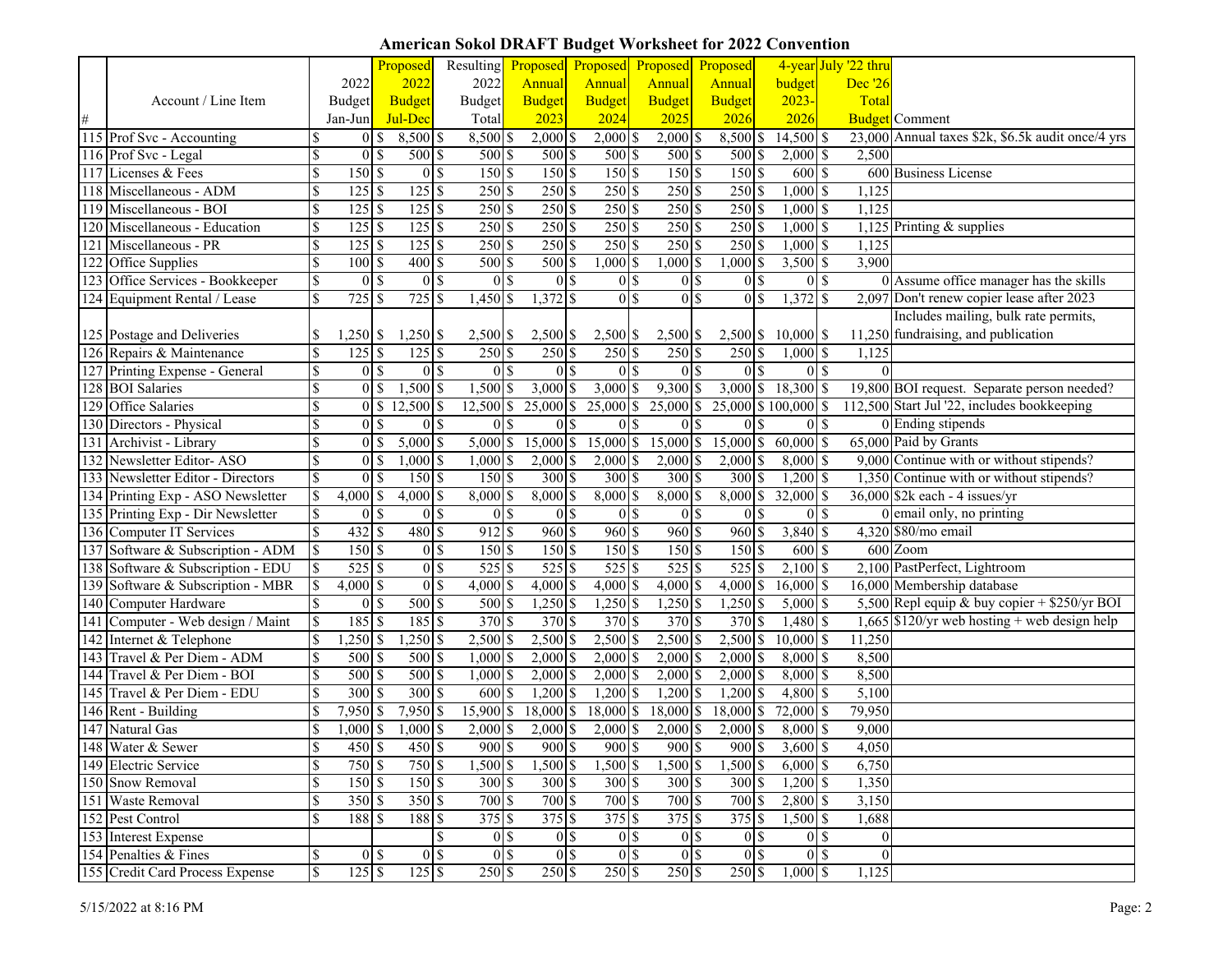## **American Sokol DRAFT Budget Worksheet for 2022 Convention**

|                  |                                   |                          |                                          | Proposed                                  | Resulting                   |                |                | Proposed Proposed Proposed Proposed |                  |                |                       |                      |                | 4-year July '22 thru |                                                      |
|------------------|-----------------------------------|--------------------------|------------------------------------------|-------------------------------------------|-----------------------------|----------------|----------------|-------------------------------------|------------------|----------------|-----------------------|----------------------|----------------|----------------------|------------------------------------------------------|
|                  |                                   |                          | 2022                                     | 2022                                      | 2022                        |                | Annual         | Annual                              | Annual           |                | Annual                | budget               |                | Dec '26              |                                                      |
|                  | Account / Line Item               |                          | <b>Budget</b>                            | <b>Budget</b>                             | <b>Budget</b>               |                | <b>Budget</b>  | <b>Budget</b>                       | <b>Budget</b>    |                | <b>Budget</b>         | $2023 -$             |                | Total                |                                                      |
| $\#$             |                                   |                          | Jan-Jun                                  | Jul-Dec                                   | Total                       |                | 2023           | 2024                                | 2025             |                | 2026                  | 2026                 |                |                      | <b>Budget</b> Comment                                |
|                  | 115 Prof Svc - Accounting         |                          | $0 \simeq$                               | $8,500$ \$                                | $8,500$ \$                  |                | $2,000$ \$     | $2,000$ \$                          | $2,000$ \$       |                | 8,500 \$              | 14,500 \$            |                |                      | 23,000 Annual taxes \$2k, \$6.5k audit once/4 yrs    |
|                  | 116 Prof Svc - Legal              | $\mathcal{S}$            | 0 <sup>1</sup>                           | 500 \$                                    | 500 \$                      |                | 500 \$         | 500 \$                              | 500 \$           |                | 500 \$                | $2,000$ \$           |                | 2,500                |                                                      |
|                  | 117 Licenses & Fees               | $\mathcal{S}$            | 150S                                     | 0 <sup>5</sup>                            | 150S                        |                | 150S           | 150S                                |                  | 150S           | 150S                  | 600 \$               |                |                      | 600 Business License                                 |
|                  | 118 Miscellaneous - ADM           |                          | $125$ \$                                 | 125S                                      | 250S                        |                | 250S           | 250S                                | 250 \$           |                | 250S                  | $1,000$ \$           |                | 1,125                |                                                      |
|                  | 119 Miscellaneous - BOI           | \$                       | $125$ \$                                 | $125$ \$                                  | 250S                        |                | 250S           | 250 \$                              | 250 \$           |                | $250$ \$              | $1,000$ \$           |                | 1,125                |                                                      |
| $\overline{120}$ | Miscellaneous - Education         |                          | 125S                                     | $125$ \$                                  | 250 \$                      |                | 250S           | 250S                                | 250S             |                | 250S                  | $1,000$ \$           |                |                      | 1,125 Printing $&$ supplies                          |
| 121              | Miscellaneous - PR                | <sup>\$</sup>            |                                          | $125$ \$                                  | 250S                        |                | 250S           | 250S                                | 250S             |                | 250S                  | $1,000$ \$           |                | 1,125                |                                                      |
|                  | 122 Office Supplies               | $\mathbb{S}$             | $100\$ \$                                | 400                                       | 500S<br>$\mathcal{S}$       |                | 500S           | $1,000$ \$                          | $1,000$ \$       |                | $,000$ \$             | $3,500$ \$           |                | 3,900                |                                                      |
|                  | 123 Office Services - Bookkeeper  | $\mathcal{S}$            | 0 <sup>1</sup>                           | $\theta$                                  | $\overline{\mathcal{S}}$    | 0 <sup>1</sup> | 0 <sup>1</sup> | 0 <sup>1</sup>                      |                  | 0 <sup>1</sup> | 0 <sup>1</sup>        |                      | $01$ s         |                      | 0 Assume office manager has the skills               |
|                  | 124 Equipment Rental / Lease      | \$                       | $\overline{725}$                         | 725<br>$\mathbf{s}$                       | <sup>\$</sup><br>$1,450$ \$ |                | $1,372$ \$     | 0 <sup>1</sup>                      |                  | 0 <sup>5</sup> | 0 <sup>1</sup>        | $1,372$ \$           |                |                      | 2,097 Don't renew copier lease after 2023            |
|                  |                                   |                          |                                          |                                           |                             |                |                |                                     |                  |                |                       |                      |                |                      | Includes mailing, bulk rate permits,                 |
|                  | 125 Postage and Deliveries        |                          | $1,250$ \$                               | $1,250$ \$                                | 2,500 \$                    |                | 2,500 \$       | $2,500$ \$                          | 2,500 \$         |                |                       | 2,500 \$ 10,000 \$   |                |                      | 11,250 fundraising, and publication                  |
|                  | 126 Repairs & Maintenance         | $\mathcal{S}$            | $125$ \$                                 | $125$ \$                                  | 250 \$                      |                | 250 \$         | 250 \$                              | 250 \$           |                | 250 \$                | $1,000$ \$           |                | 1,125                |                                                      |
|                  | 127 Printing Expense - General    | $\mathbb{S}$             | 0 <sup>1</sup>                           | 0 <sup>5</sup>                            |                             | 0 <sup>3</sup> | 0 <sup>1</sup> | $\overline{0}$ \$                   |                  | 0 <sup>1</sup> | 0 <sup>1</sup>        |                      | 0 <sup>1</sup> |                      |                                                      |
|                  | 128 BOI Salaries                  | $\mathcal{S}$            | 0 <sup>1</sup>                           | $1,500$ \$                                | $1,500$ \$                  |                | $3,000$ \$     | $3,000$ \$                          | $9,300$ \$       |                | $3,000$ \$            | $18,300$ \$          |                |                      | 19,800 BOI request. Separate person needed?          |
|                  | 129 Office Salaries               | $\overline{\mathcal{S}}$ | 0 <sup>5</sup>                           | $12,500$ \$                               | $12,500$ \$                 |                | 25,000 \$      | 25,000 \$                           | 25,000 \$        |                |                       | 25,000 \$ 100,000 \$ |                |                      | 112,500 Start Jul '22, includes bookkeeping          |
|                  | 130 Directors - Physical          | <sup>\$</sup>            | 0 <sup>1</sup>                           | 0 <sup>5</sup>                            |                             | 0 <sup>3</sup> | 0 <sup>1</sup> | 0 <sup>1</sup>                      |                  | 0 <sup>1</sup> | 0 <sup>1</sup>        |                      | 0 <sup>1</sup> |                      | 0 Ending stipends                                    |
|                  | 131 Archivist - Library           |                          | 0 <sup>1</sup>                           | $5,000$ \$                                | $5,000$ \$                  |                | 15,000 \$      | $15,000$ \$                         | 15,000 \$        |                | $15,000$ \$           | $60,000$ \$          |                |                      | 65,000 Paid by Grants                                |
| 132              | Newsletter Editor-ASO             |                          | 0 <sup>1</sup>                           | $1,000$ \$                                | $1,000$ \$                  |                | $2,000$ \$     | $2,000$ \$                          | $2,000$ \$       |                | $2,000$ \$            | 8,000 \$             |                |                      | 9,000 Continue with or without stipends?             |
|                  | 133 Newsletter Editor - Directors | $\mathbf S$              | 0 <sup>1</sup>                           | 150S                                      | 150 \$                      |                | 300 \$         | 300 \$                              | 300 \$           |                | 300 \$                | $1,200$ \$           |                |                      | 1,350 Continue with or without stipends?             |
|                  | 134 Printing Exp - ASO Newsletter | <sup>\$</sup>            | $4,000$ \$                               | 4,000                                     | $\mathbf{s}$<br>8,000 \$    |                | 8,000 \$       | 8,000 \$                            | 8,000 \$         |                | 8,000 \$              | 32,000               |                |                      | $36,000$ \$2k each - 4 issues/yr                     |
|                  | 135 Printing Exp - Dir Newsletter | $\mathbf S$              | 0 I S                                    | 0 <sup>5</sup>                            |                             | 0 <sup>3</sup> | 0 <sup>1</sup> | 0 <sup>1</sup>                      |                  | 0 <sup>1</sup> | 0 <sup>1</sup>        |                      | 0 <sup>1</sup> |                      | 0 email only, no printing                            |
|                  | 136 Computer IT Services          |                          | $432 \overline{\smash{\big }\mathsf{S}}$ | 480S                                      | 912S                        |                | 960S           | 960S                                | $960$ \$         |                | 960S                  | 3,840                | <b>S</b>       |                      | 4,320 \$80/mo email                                  |
|                  | 137 Software & Subscription - ADM |                          | 150S                                     | 0 <sup>3</sup>                            | 150 \$                      |                | 150 \$         | 150 \$                              | 150 \$           |                | 150S                  | 600 \$               |                |                      | 600 Zoom                                             |
|                  | 138 Software & Subscription - EDU |                          | $525$ \$                                 | 0 <sup>5</sup>                            | 525S                        |                | 525S           | 525S                                | 525S             |                | $525$ \$              | $2,100$ \$           |                |                      | 2,100 PastPerfect, Lightroom                         |
|                  | 139 Software & Subscription - MBR |                          | $4,000$ \$                               | 0 <sup>5</sup>                            | $4,000$ \$                  |                | $4,000$ \$     | $4,000$ \$                          | $4,000$ \$       |                | $4,000$ \$            | $16,000$ \$          |                |                      | 16,000 Membership database                           |
|                  | 140 Computer Hardware             |                          | 0 <sup>1</sup>                           | $500$ \$                                  | 500S                        |                | $1,250$ \$     | $1,250$ \$                          | $1,250$ \$       |                | $1,250$ \$            | $5,000$ \$           |                |                      | 5,500 Repl equip & buy copier + $\frac{250}{yr}$ BOI |
|                  | 141 Computer - Web design / Maint |                          | $185$ \$                                 | $185\overline{\smash{)}\,5}$              | 370 \$                      |                | 370S           | 370S                                | 370 \$           |                | 370S                  | 1,480 \$             |                |                      | 1,665 $$120/yr$ web hosting + web design help        |
|                  | 142 Internet & Telephone          |                          | $,250$ \ \$                              | $1,250$ \$                                | $2,500$ \$                  |                | $2,500$ \$     | $2,500$ \$                          | $2,500$ \$       |                | $2,500$ \$            | $10,000$ \$          |                | 11,250               |                                                      |
|                  | 143 Travel & Per Diem - ADM       |                          | $500$ \$                                 | $500$ \$                                  | $1,000$ \$                  |                | $2,000$ \$     | $2,000$ \$                          | $2,000$ \$       |                | $2,000$ \$            | $8,000$ \$           |                | 8,500                |                                                      |
|                  | 144 Travel & Per Diem - BOI       | \$                       | $500$ \$                                 | $500$ \$                                  | $1,000$ \$                  |                | $2,000$ \$     | $2,000$ \$                          | $2,000$ \$       |                | $2,000$ \$            | $8,000$ \$           |                | 8,500                |                                                      |
|                  | 145 Travel & Per Diem - EDU       |                          | $300 \text{ s}$                          | 300S                                      | 600 \$                      |                | $1,200$ \$     | $1,200$ \$                          | $1,200$ \$       |                | $1,200$ \$            | 4,800 \$             |                | 5,100                |                                                      |
|                  | 146 Rent - Building               | <sup>\$</sup>            | 7,950 \$                                 | $7,950$ \$                                | 15,900 \$                   |                | 18,000 \$      | 18,000 \$                           | $18,000$ \$      |                | 18,000 \$             | 72,000 \$            |                | 79,950               |                                                      |
| 147              | Natural Gas                       |                          | $,000$ \$                                | $1,000$ \$                                | 2,000                       |                | $2,000$ \$     | $2,000$ \$                          | $2,000$ \$       |                | 2,000                 | $8,000$ \$           |                | 9,000                |                                                      |
|                  | 148 Water & Sewer                 | $\mathcal{R}$            | 450 S                                    | $450\overline{\smash{\big }\,\mathsf{S}}$ | 900S                        |                | 900 \$         | 900 \$                              | $900$ $\text{S}$ |                | 900 \$                | $3,600$ \$           |                | 4.050                |                                                      |
|                  | 149 Electric Service              | $\mathbb{S}$             | 750 \$                                   | 750 \$                                    | $1,500$ \$                  |                | $1,500$ \$     | 1,500 \$                            | $1,500$ \$       |                | $1,500$ \$            | $6,000$ \$           |                | 6,750                |                                                      |
|                  | 150 Snow Removal                  | <sup>\$</sup>            | 150S                                     | 150S                                      | 300S                        |                | 300S           | 300S                                | 300S             |                | 300S                  | $1,200$ \$           |                | 1,350                |                                                      |
|                  | 151 Waste Removal                 | $\$$                     | 350 \$                                   | 350S                                      | 700 \$                      |                | 700 \$         | 700 \$                              | 700 \$           |                | 700 \$                | 2,800 \$             |                | 3,150                |                                                      |
|                  | 152 Pest Control                  | \$                       | 188 \$                                   | 188 \$                                    | $375$ \$                    |                |                | $375$ $$$                           | 375 \$           |                | $375$ $\overline{\$}$ | 1,500 \$             |                | 1,688                |                                                      |
|                  | 153 Interest Expense              |                          |                                          |                                           | $\mathbb{S}$                | 0 <sup>3</sup> | $0\sqrt{3}$    | 0 <sup>3</sup>                      |                  | 0 <sup>3</sup> | 0 <sup>5</sup>        |                      | $0\sqrt{3}$    | $\overline{0}$       |                                                      |
|                  | 154 Penalties & Fines             | $\$$                     | 0 <sup>5</sup>                           | 0S                                        |                             | 0 <sup>3</sup> | 0 <sup>5</sup> | $\overline{0}$ \$                   |                  | $0$ \$         | 0 <sup>1</sup>        |                      | $0$ \$         | $\overline{0}$       |                                                      |
|                  | 155 Credit Card Process Expense   | $\mathbb{S}$             | $125$ \$                                 | $125\overline{\smash{)}\,5}$              | 250S                        |                | 250 \$         | 250 \$                              | 250 \$           |                | 250 \$                | $1,000$ \$           |                | 1,125                |                                                      |